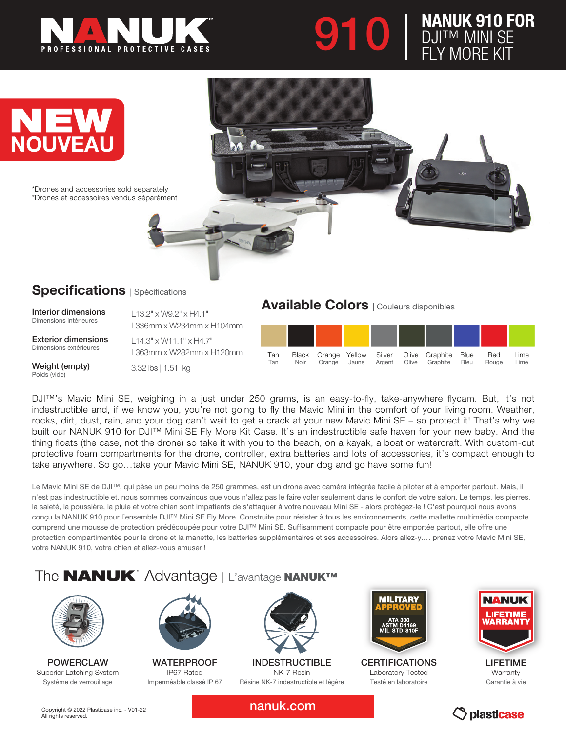





# Specifications | Spécifications

Interior dimensions Dimensions intérieures

Exterior dimensions Dimensions extérieures

Weight (empty) Poids (vide)

L336mm x W234mm x H104mm L14.3" x W11.1" x H4.7" L363mm x W282mm x H120mm

L13.2" x W9.2" x H4.1"

3.32 lbs | 1.51 kg

## Available Colors | Couleurs disponibles



DJI™'s Mavic Mini SE, weighing in a just under 250 grams, is an easy-to-fly, take-anywhere flycam. But, it's not indestructible and, if we know you, you're not going to fly the Mavic Mini in the comfort of your living room. Weather, rocks, dirt, dust, rain, and your dog can't wait to get a crack at your new Mavic Mini SE – so protect it! That's why we built our NANUK 910 for DJI™ Mini SE Fly More Kit Case. It's an indestructible safe haven for your new baby. And the thing floats (the case, not the drone) so take it with you to the beach, on a kayak, a boat or watercraft. With custom-cut protective foam compartments for the drone, controller, extra batteries and lots of accessories, it's compact enough to take anywhere. So go…take your Mavic Mini SE, NANUK 910, your dog and go have some fun!

Le Mavic Mini SE de DJI™, qui pèse un peu moins de 250 grammes, est un drone avec caméra intégrée facile à piloter et à emporter partout. Mais, il n'est pas indestructible et, nous sommes convaincus que vous n'allez pas le faire voler seulement dans le confort de votre salon. Le temps, les pierres, la saleté, la poussière, la pluie et votre chien sont impatients de s'attaquer à votre nouveau Mini SE - alors protégez-le ! C'est pourquoi nous avons conçu la NANUK 910 pour l'ensemble DJI™ Mini SE Fly More. Construite pour résister à tous les environnements, cette mallette multimédia compacte comprend une mousse de protection prédécoupée pour votre DJI™ Mini SE. Suffisamment compacte pour être emportée partout, elle offre une protection compartimentée pour le drone et la manette, les batteries supplémentaires et ses accessoires. Alors allez-y.... prenez votre Mavic Mini SE, votre NANUK 910, votre chien et allez-vous amuser !

# The **NANUK**™ Advantage | L'avantage NANUK™



POWERCLAW Superior Latching System Système de verrouillage



**WATERPROOF** IP67 Rated Imperméable classé IP 67



INDESTRUCTIBLE NK-7 Resin Résine NK-7 indestructible et légère



**CERTIFICATIONS** Laboratory Tested Testé en laboratoire



LIFETIME **Warranty** Garantie à vie

Copyright © 2022 Plasticase inc. - V01-22 All rights reserved.

nanuk.com